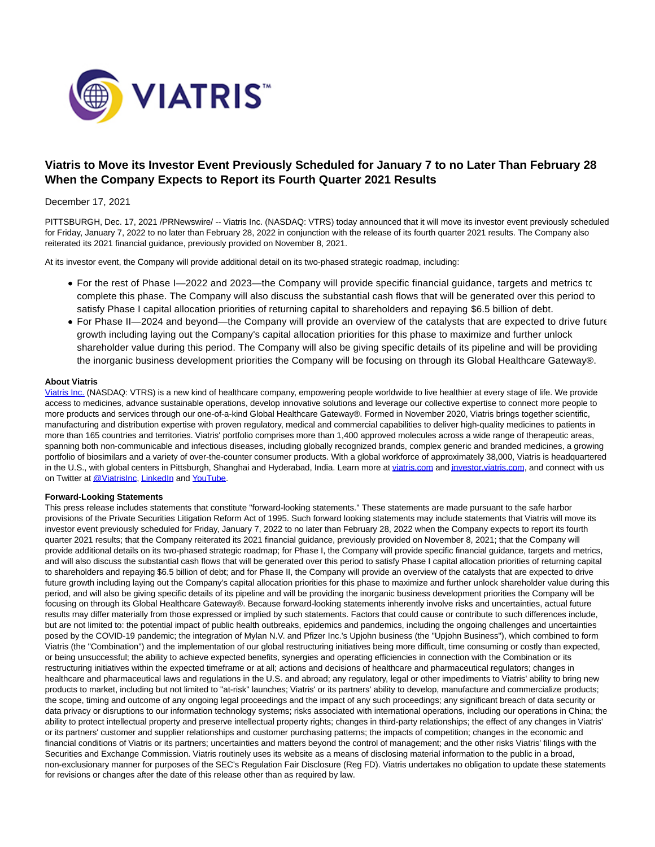

# **Viatris to Move its Investor Event Previously Scheduled for January 7 to no Later Than February 28 When the Company Expects to Report its Fourth Quarter 2021 Results**

## December 17, 2021

PITTSBURGH, Dec. 17, 2021 /PRNewswire/ -- Viatris Inc. (NASDAQ: VTRS) today announced that it will move its investor event previously scheduled for Friday, January 7, 2022 to no later than February 28, 2022 in conjunction with the release of its fourth quarter 2021 results. The Company also reiterated its 2021 financial guidance, previously provided on November 8, 2021.

At its investor event, the Company will provide additional detail on its two-phased strategic roadmap, including:

- For the rest of Phase I—2022 and 2023—the Company will provide specific financial guidance, targets and metrics to complete this phase. The Company will also discuss the substantial cash flows that will be generated over this period to satisfy Phase I capital allocation priorities of returning capital to shareholders and repaying \$6.5 billion of debt.
- For Phase II—2024 and beyond—the Company will provide an overview of the catalysts that are expected to drive future growth including laying out the Company's capital allocation priorities for this phase to maximize and further unlock shareholder value during this period. The Company will also be giving specific details of its pipeline and will be providing the inorganic business development priorities the Company will be focusing on through its Global Healthcare Gateway®.

### **About Viatris**

[Viatris Inc. \(](https://c212.net/c/link/?t=0&l=en&o=3394381-1&h=4133571191&u=https%3A%2F%2Fwww.viatris.com%2F&a=Viatris%C2%A0Inc.)NASDAQ: VTRS) is a new kind of healthcare company, empowering people worldwide to live healthier at every stage of life. We provide access to medicines, advance sustainable operations, develop innovative solutions and leverage our collective expertise to connect more people to more products and services through our one-of-a-kind Global Healthcare Gateway®. Formed in November 2020, Viatris brings together scientific, manufacturing and distribution expertise with proven regulatory, medical and commercial capabilities to deliver high-quality medicines to patients in more than 165 countries and territories. Viatris' portfolio comprises more than 1,400 approved molecules across a wide range of therapeutic areas, spanning both non-communicable and infectious diseases, including globally recognized brands, complex generic and branded medicines, a growing portfolio of biosimilars and a variety of over-the-counter consumer products. With a global workforce of approximately 38,000, Viatris is headquartered in the U.S., with global centers in Pittsburgh, Shanghai and Hyderabad, India. Learn more at [viatris.com a](https://c212.net/c/link/?t=0&l=en&o=3394381-1&h=3826462998&u=https%3A%2F%2Fwww.viatris.com%2Fen&a=viatris.com)n[d investor.viatris.com,](https://c212.net/c/link/?t=0&l=en&o=3394381-1&h=2949846030&u=https%3A%2F%2Finvestor.viatris.com%2F&a=investor.viatris.com) and connect with us on Twitter a[t @ViatrisInc,](https://c212.net/c/link/?t=0&l=en&o=3394381-1&h=3264640782&u=https%3A%2F%2Ftwitter.com%2Fviatrisinc&a=%40ViatrisInc) [LinkedIn a](https://c212.net/c/link/?t=0&l=en&o=3394381-1&h=1850755917&u=https%3A%2F%2Fwww.linkedin.com%2Fcompany%2Fviatris%2F&a=LinkedIn)nd YouTube.

### **Forward-Looking Statements**

This press release includes statements that constitute "forward-looking statements." These statements are made pursuant to the safe harbor provisions of the Private Securities Litigation Reform Act of 1995. Such forward looking statements may include statements that Viatris will move its investor event previously scheduled for Friday, January 7, 2022 to no later than February 28, 2022 when the Company expects to report its fourth quarter 2021 results; that the Company reiterated its 2021 financial guidance, previously provided on November 8, 2021; that the Company will provide additional details on its two-phased strategic roadmap; for Phase I, the Company will provide specific financial guidance, targets and metrics, and will also discuss the substantial cash flows that will be generated over this period to satisfy Phase I capital allocation priorities of returning capital to shareholders and repaying \$6.5 billion of debt; and for Phase II, the Company will provide an overview of the catalysts that are expected to drive future growth including laying out the Company's capital allocation priorities for this phase to maximize and further unlock shareholder value during this period, and will also be giving specific details of its pipeline and will be providing the inorganic business development priorities the Company will be focusing on through its Global Healthcare Gateway®. Because forward-looking statements inherently involve risks and uncertainties, actual future results may differ materially from those expressed or implied by such statements. Factors that could cause or contribute to such differences include, but are not limited to: the potential impact of public health outbreaks, epidemics and pandemics, including the ongoing challenges and uncertainties posed by the COVID-19 pandemic; the integration of Mylan N.V. and Pfizer Inc.'s Upjohn business (the "Upjohn Business"), which combined to form Viatris (the "Combination") and the implementation of our global restructuring initiatives being more difficult, time consuming or costly than expected, or being unsuccessful; the ability to achieve expected benefits, synergies and operating efficiencies in connection with the Combination or its restructuring initiatives within the expected timeframe or at all; actions and decisions of healthcare and pharmaceutical regulators; changes in healthcare and pharmaceutical laws and regulations in the U.S. and abroad; any regulatory, legal or other impediments to Viatris' ability to bring new products to market, including but not limited to "at-risk" launches; Viatris' or its partners' ability to develop, manufacture and commercialize products; the scope, timing and outcome of any ongoing legal proceedings and the impact of any such proceedings; any significant breach of data security or data privacy or disruptions to our information technology systems; risks associated with international operations, including our operations in China; the ability to protect intellectual property and preserve intellectual property rights; changes in third-party relationships; the effect of any changes in Viatris' or its partners' customer and supplier relationships and customer purchasing patterns; the impacts of competition; changes in the economic and financial conditions of Viatris or its partners; uncertainties and matters beyond the control of management; and the other risks Viatris' filings with the Securities and Exchange Commission. Viatris routinely uses its website as a means of disclosing material information to the public in a broad, non-exclusionary manner for purposes of the SEC's Regulation Fair Disclosure (Reg FD). Viatris undertakes no obligation to update these statements for revisions or changes after the date of this release other than as required by law.